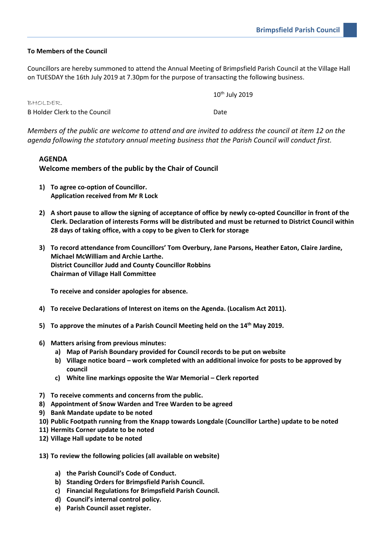## **To Members of the Council**

Councillors are hereby summoned to attend the Annual Meeting of Brimpsfield Parish Council at the Village Hall on TUESDAY the 16th July 2019 at 7.30pm for the purpose of transacting the following business.

|                               | $10^{th}$ July 2019 |
|-------------------------------|---------------------|
| BHOLDER.                      |                     |
| B Holder Clerk to the Council | Date                |

*Members of the public are welcome to attend and are invited to address the council at item 12 on the agenda following the statutory annual meeting business that the Parish Council will conduct first.*

## **AGENDA**

**Welcome members of the public by the Chair of Council**

- **1) To agree co-option of Councillor. Application received from Mr R Lock**
- **2) A short pause to allow the signing of acceptance of office by newly co-opted Councillor in front of the Clerk. Declaration of interests Forms will be distributed and must be returned to District Council within 28 days of taking office, with a copy to be given to Clerk for storage**
- **3) To record attendance from Councillors' Tom Overbury, Jane Parsons, Heather Eaton, Claire Jardine, Michael McWilliam and Archie Larthe. District Councillor Judd and County Councillor Robbins Chairman of Village Hall Committee**

**To receive and consider apologies for absence.**

- **4) To receive Declarations of Interest on items on the Agenda. (Localism Act 2011).**
- **5) To approve the minutes of a Parish Council Meeting held on the 14th May 2019.**
- **6) Matters arising from previous minutes:**
	- **a) Map of Parish Boundary provided for Council records to be put on website**
	- **b) Village notice board – work completed with an additional invoice for posts to be approved by council**
	- **c) White line markings opposite the War Memorial – Clerk reported**
- **7) To receive comments and concerns from the public.**
- **8) Appointment of Snow Warden and Tree Warden to be agreed**
- **9) Bank Mandate update to be noted**
- **10) Public Footpath running from the Knapp towards Longdale (Councillor Larthe) update to be noted**
- **11) Hermits Corner update to be noted**
- **12) Village Hall update to be noted**
- **13) To review the following policies (all available on website)**
	- **a) the Parish Council's Code of Conduct.**
	- **b) Standing Orders for Brimpsfield Parish Council.**
	- **c) Financial Regulations for Brimpsfield Parish Council.**
	- **d) Council's internal control policy.**
	- **e) Parish Council asset register.**